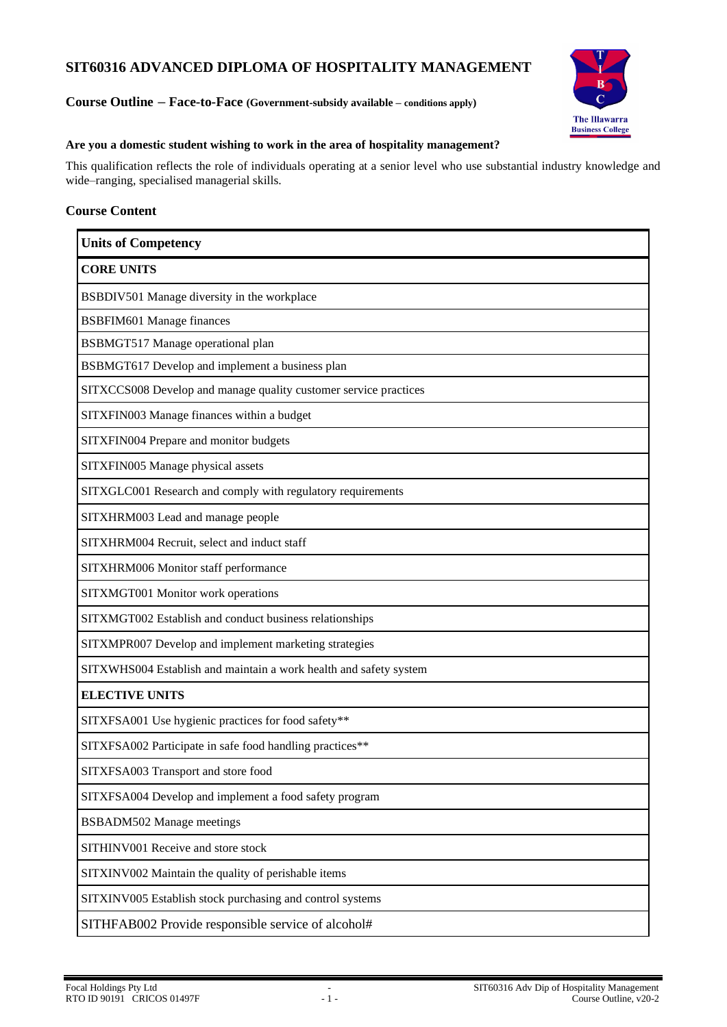# **SIT60316 ADVANCED DIPLOMA OF HOSPITALITY MANAGEMENT**

# **Course Outline – Face-to-Face (Government-subsidy available – conditions apply)**



#### **Are you a domestic student wishing to work in the area of hospitality management?**

This qualification reflects the role of individuals operating at a senior level who use substantial industry knowledge and wide–ranging, specialised managerial skills.

# **Course Content**

| <b>Units of Competency</b>                                        |
|-------------------------------------------------------------------|
| <b>CORE UNITS</b>                                                 |
| BSBDIV501 Manage diversity in the workplace                       |
| <b>BSBFIM601 Manage finances</b>                                  |
| <b>BSBMGT517 Manage operational plan</b>                          |
| BSBMGT617 Develop and implement a business plan                   |
| SITXCCS008 Develop and manage quality customer service practices  |
| SITXFIN003 Manage finances within a budget                        |
| SITXFIN004 Prepare and monitor budgets                            |
| SITXFIN005 Manage physical assets                                 |
| SITXGLC001 Research and comply with regulatory requirements       |
| SITXHRM003 Lead and manage people                                 |
| SITXHRM004 Recruit, select and induct staff                       |
| SITXHRM006 Monitor staff performance                              |
| SITXMGT001 Monitor work operations                                |
| SITXMGT002 Establish and conduct business relationships           |
| SITXMPR007 Develop and implement marketing strategies             |
| SITXWHS004 Establish and maintain a work health and safety system |
| <b>ELECTIVE UNITS</b>                                             |
| SITXFSA001 Use hygienic practices for food safety**               |
| SITXFSA002 Participate in safe food handling practices**          |
| SITXFSA003 Transport and store food                               |
| SITXFSA004 Develop and implement a food safety program            |
| <b>BSBADM502 Manage meetings</b>                                  |
| SITHINV001 Receive and store stock                                |
| SITXINV002 Maintain the quality of perishable items               |
| SITXINV005 Establish stock purchasing and control systems         |
| SITHFAB002 Provide responsible service of alcohol#                |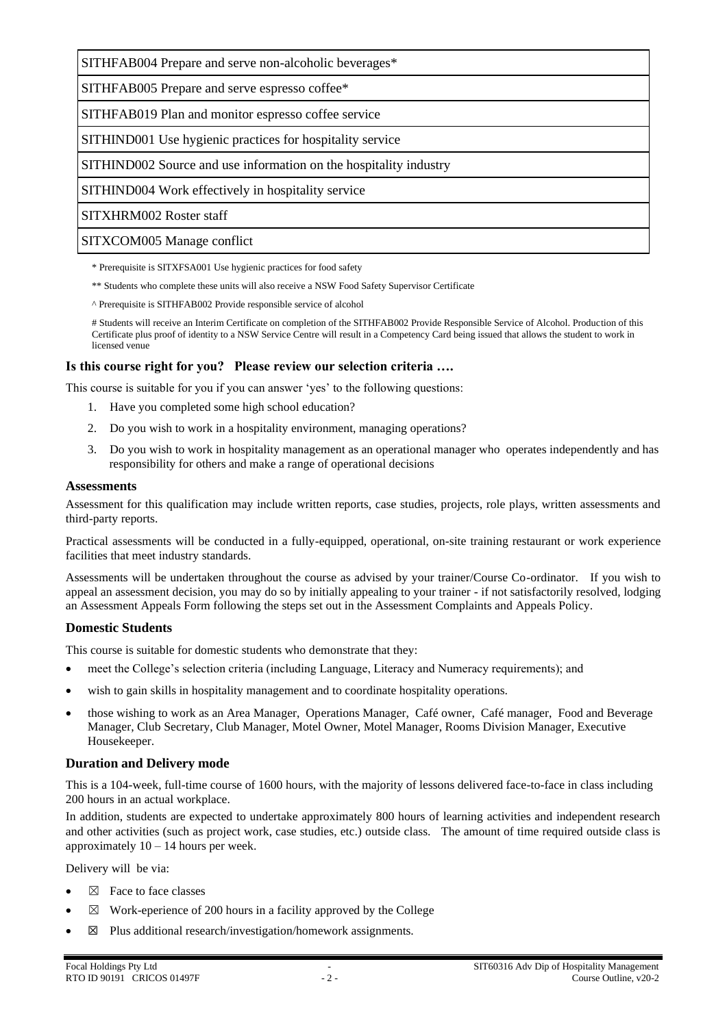SITHFAB004 Prepare and serve non-alcoholic beverages\*

SITHFAB005 Prepare and serve espresso coffee\*

SITHFAB019 Plan and monitor espresso coffee service

SITHIND001 Use hygienic practices for hospitality service

SITHIND002 Source and use information on the hospitality industry

SITHIND004 Work effectively in hospitality service

SITXHRM002 Roster staff

SITXCOM005 Manage conflict

\* Prerequisite is SITXFSA001 Use hygienic practices for food safety

- \*\* Students who complete these units will also receive a NSW Food Safety Supervisor Certificate
- ^ Prerequisite is SITHFAB002 Provide responsible service of alcohol

# Students will receive an Interim Certificate on completion of the SITHFAB002 Provide Responsible Service of Alcohol. Production of this Certificate plus proof of identity to a NSW Service Centre will result in a Competency Card being issued that allows the student to work in licensed venue

#### **Is this course right for you? Please review our selection criteria ….**

This course is suitable for you if you can answer 'yes' to the following questions:

- 1. Have you completed some high school education?
- 2. Do you wish to work in a hospitality environment, managing operations?
- 3. Do you wish to work in hospitality management as an operational manager who operates independently and has responsibility for others and make a range of operational decisions

#### **Assessments**

Assessment for this qualification may include written reports, case studies, projects, role plays, written assessments and third-party reports.

Practical assessments will be conducted in a fully-equipped, operational, on-site training restaurant or work experience facilities that meet industry standards.

Assessments will be undertaken throughout the course as advised by your trainer/Course Co-ordinator. If you wish to appeal an assessment decision, you may do so by initially appealing to your trainer - if not satisfactorily resolved, lodging an Assessment Appeals Form following the steps set out in the Assessment Complaints and Appeals Policy.

#### **Domestic Students**

This course is suitable for domestic students who demonstrate that they:

- meet the College's selection criteria (including Language, Literacy and Numeracy requirements); and
- wish to gain skills in hospitality management and to coordinate hospitality operations.
- those wishing to work as an Area Manager, Operations Manager, Café owner, Café manager, Food and Beverage Manager, Club Secretary, Club Manager, Motel Owner, Motel Manager, Rooms Division Manager, Executive Housekeeper.

#### **Duration and Delivery mode**

This is a 104-week, full-time course of 1600 hours, with the majority of lessons delivered face-to-face in class including 200 hours in an actual workplace.

In addition, students are expected to undertake approximately 800 hours of learning activities and independent research and other activities (such as project work, case studies, etc.) outside class. The amount of time required outside class is approximately  $10 - 14$  hours per week.

Delivery will be via:

- $\boxtimes$  Face to face classes
- $\boxtimes$  Work-eperience of 200 hours in a facility approved by the College
- $\boxtimes$  Plus additional research/investigation/homework assignments.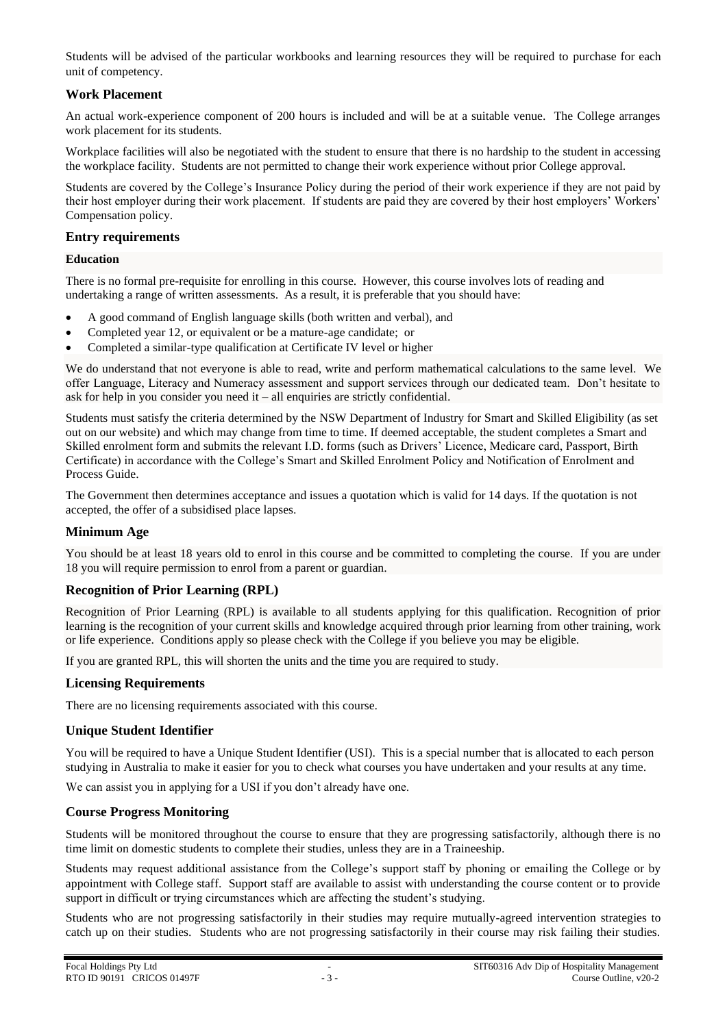Students will be advised of the particular workbooks and learning resources they will be required to purchase for each unit of competency.

# **Work Placement**

An actual work-experience component of 200 hours is included and will be at a suitable venue. The College arranges work placement for its students.

Workplace facilities will also be negotiated with the student to ensure that there is no hardship to the student in accessing the workplace facility. Students are not permitted to change their work experience without prior College approval.

Students are covered by the College's Insurance Policy during the period of their work experience if they are not paid by their host employer during their work placement. If students are paid they are covered by their host employers' Workers' Compensation policy.

### **Entry requirements**

#### **Education**

There is no formal pre-requisite for enrolling in this course. However, this course involves lots of reading and undertaking a range of written assessments. As a result, it is preferable that you should have:

- A good command of English language skills (both written and verbal), and
- Completed year 12, or equivalent or be a mature-age candidate; or
- Completed a similar-type qualification at Certificate IV level or higher

We do understand that not everyone is able to read, write and perform mathematical calculations to the same level. We offer Language, Literacy and Numeracy assessment and support services through our dedicated team. Don't hesitate to ask for help in you consider you need it – all enquiries are strictly confidential.

Students must satisfy the criteria determined by the NSW Department of Industry for Smart and Skilled Eligibility (as set out on our website) and which may change from time to time. If deemed acceptable, the student completes a Smart and Skilled enrolment form and submits the relevant I.D. forms (such as Drivers' Licence, Medicare card, Passport, Birth Certificate) in accordance with the College's Smart and Skilled Enrolment Policy and Notification of Enrolment and Process Guide.

The Government then determines acceptance and issues a quotation which is valid for 14 days. If the quotation is not accepted, the offer of a subsidised place lapses.

# **Minimum Age**

You should be at least 18 years old to enrol in this course and be committed to completing the course. If you are under 18 you will require permission to enrol from a parent or guardian.

# **Recognition of Prior Learning (RPL)**

Recognition of Prior Learning (RPL) is available to all students applying for this qualification. Recognition of prior learning is the recognition of your current skills and knowledge acquired through prior learning from other training, work or life experience. Conditions apply so please check with the College if you believe you may be eligible.

If you are granted RPL, this will shorten the units and the time you are required to study.

#### **Licensing Requirements**

There are no licensing requirements associated with this course.

#### **Unique Student Identifier**

You will be required to have a Unique Student Identifier (USI). This is a special number that is allocated to each person studying in Australia to make it easier for you to check what courses you have undertaken and your results at any time.

We can assist you in applying for a USI if you don't already have one.

#### **Course Progress Monitoring**

Students will be monitored throughout the course to ensure that they are progressing satisfactorily, although there is no time limit on domestic students to complete their studies, unless they are in a Traineeship.

Students may request additional assistance from the College's support staff by phoning or emailing the College or by appointment with College staff. Support staff are available to assist with understanding the course content or to provide support in difficult or trying circumstances which are affecting the student's studying.

Students who are not progressing satisfactorily in their studies may require mutually-agreed intervention strategies to catch up on their studies. Students who are not progressing satisfactorily in their course may risk failing their studies.